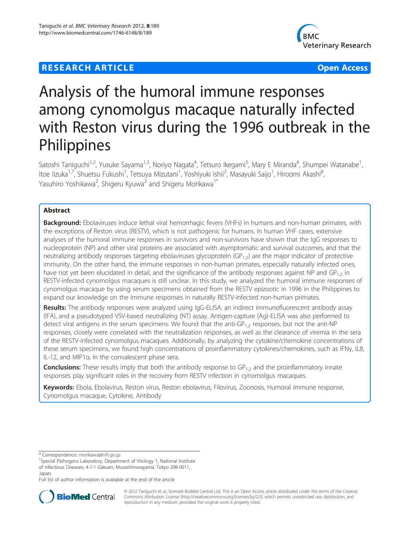## **RESEARCH ARTICLE Example 2014 12:30 THE Open Access**



# Analysis of the humoral immune responses among cynomolgus macaque naturally infected with Reston virus during the 1996 outbreak in the **Philippines**

Satoshi Taniguchi<sup>1,2</sup>, Yusuke Sayama<sup>1,3</sup>, Noriyo Nagata<sup>4</sup>, Tetsuro Ikegami<sup>5</sup>, Mary E Miranda<sup>6</sup>, Shumpei Watanabe<sup>1</sup> , ltoe Iizuka<sup>1,7</sup>, Shuetsu Fukushi<sup>1</sup>, Tetsuya Mizutani<sup>1</sup>, Yoshiyuki Ishii<sup>2</sup>, Masayuki Saijo<sup>1</sup>, Hiroomi Akashi<sup>8</sup> , Yasuhiro Yoshikawa<sup>2</sup>, Shigeru Kyuwa<sup>2</sup> and Shigeru Morikawa<sup>1\*</sup>

## Abstract

Background: Ebolaviruses induce lethal viral hemorrhagic fevers (VHFs) in humans and non-human primates, with the exceptions of Reston virus (RESTV), which is not pathogenic for humans. In human VHF cases, extensive analyses of the humoral immune responses in survivors and non-survivors have shown that the IgG responses to nucleoprotein (NP) and other viral proteins are associated with asymptomatic and survival outcomes, and that the neutralizing antibody responses targeting ebolaviruses glycoprotein (GP<sub>1,2</sub>) are the major indicator of protective immunity. On the other hand, the immune responses in non-human primates, especially naturally infected ones, have not yet been elucidated in detail, and the significance of the antibody responses against NP and  $GP_{12}$  in RESTV-infected cynomolgus macaques is still unclear. In this study, we analyzed the humoral immune responses of cynomolgus macaque by using serum specimens obtained from the RESTV epizootic in 1996 in the Philippines to expand our knowledge on the immune responses in naturally RESTV-infected non-human primates.

Results: The antibody responses were analyzed using IgG-ELISA, an indirect immunofluorescent antibody assay (IFA), and a pseudotyped VSV-based neutralizing (NT) assay. Antigen-capture (Ag)-ELISA was also performed to detect viral antigens in the serum specimens. We found that the anti-GP<sub>1,2</sub> responses, but not the anti-NP responses, closely were correlated with the neutralization responses, as well as the clearance of viremia in the sera of the RESTV-infected cynomolgus macaques. Additionally, by analyzing the cytokine/chemokine concentrations of these serum specimens, we found high concentrations of proinflammatory cytokines/chemokines, such as IFNγ, IL8, IL-12, and MIP1α, in the convalescent phase sera.

**Conclusions:** These results imply that both the antibody response to  $GP_{1,2}$  and the proinflammatory innate responses play significant roles in the recovery from RESTV infection in cynomolgus macaques.

Keywords: Ebola, Ebolavirus, Reston virus, Reston ebolavirus, Filovirus, Zoonosis, Humoral immune response, Cynomolgus macaque, Cytokine, Antibody

\* Correspondence: [morikawa@nih.go.jp](mailto:morikawa@nih.go.jp) <sup>1</sup>

<sup>1</sup>Special Pathogens Laboratory, Department of Virology 1, National Institute of Infectious Diseases, 4-7-1 Gakuen, Musashimurayama, Tokyo 208-0011, Japan

Full list of author information is available at the end of the article



© 2012 Taniguchi et al.; licensee BioMed Central Ltd. This is an Open Access article distributed under the terms of the Creative Commons Attribution License [\(http://creativecommons.org/licenses/by/2.0\)](http://creativecommons.org/licenses/by/2.0), which permits unrestricted use, distribution, and reproduction in any medium, provided the original work is properly cited.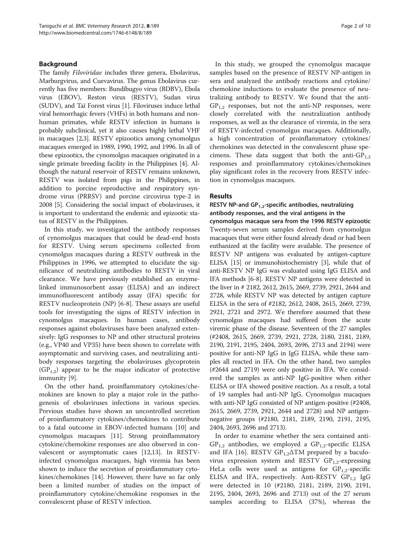## Background

The family Filoviridae includes three genera, Ebolavirus, Marburgvirus, and Cuevavirus. The genus Ebolavirus currently has five members: Bundibugyo virus (BDBV), Ebola virus (EBOV), Reston virus (RESTV), Sudan virus (SUDV), and Taï Forest virus [\[1](#page-8-0)]. Filoviruses induce lethal viral hemorrhagic fevers (VHFs) in both humans and nonhuman primates, while RESTV infection in humans is probably subclinical, yet it also causes highly lethal VHF in macaques [\[2,3\]](#page-8-0). RESTV epizootics among cynomolgus macaques emerged in 1989, 1990, 1992, and 1996. In all of these epizootics, the cynomolgus macaques originated in a single primate breeding facility in the Philippines [\[4\]](#page-8-0). Although the natural reservoir of RESTV remains unknown, RESTV was isolated from pigs in the Philippines, in addition to porcine reproductive and respiratory syndrome virus (PRRSV) and porcine circovirus type-2 in 2008 [\[5](#page-8-0)]. Considering the social impact of ebolaviruses, it is important to understand the endemic and epizootic status of RESTV in the Philippines.

In this study, we investigated the antibody responses of cynomolgus macaques that could be dead-end hosts for RESTV. Using serum specimens collected from cynomolgus macaques during a RESTV outbreak in the Philippines in 1996, we attempted to elucidate the significance of neutralizing antibodies to RESTV in viral clearance. We have previously established an enzymelinked immunosorbent assay (ELISA) and an indirect immunofluorescent antibody assay (IFA) specific for RESTV nucleoprotein (NP) [[6-8](#page-8-0)]. These assays are useful tools for investigating the signs of RESTV infection in cynomolgus macaques. In human cases, antibody responses against ebolaviruses have been analyzed extensively: IgG responses to NP and other structural proteins (e.g., VP40 and VP35) have been shown to correlate with asymptomatic and surviving cases, and neutralizing antibody responses targeting the ebolaviruses glycoprotein  $(GP_{1,2})$  appear to be the major indicator of protective immunity [[9](#page-8-0)].

On the other hand, proinflammatory cytokines/chemokines are known to play a major role in the pathogenesis of ebolaviruses infections in various species. Previous studies have shown an uncontrolled secretion of proinflammatory cytokines/chemokines to contribute to a fatal outcome in EBOV-infected humans [\[10\]](#page-8-0) and cynomolgus macaques [\[11\]](#page-8-0). Strong proinflammatory cytokine/chemokine responses are also observed in convalescent or asymptomatic cases [[12](#page-8-0),[13](#page-8-0)]. In RESTVinfected cynomolgus macaques, high viremia has been shown to induce the secretion of proinflammatory cytokines/chemokines [[14\]](#page-8-0). However, there have so far only been a limited number of studies on the impact of proinflammatory cytokine/chemokine responses in the convalescent phase of RESTV infection.

In this study, we grouped the cynomolgus macaque samples based on the presence of RESTV NP-antigen in sera and analyzed the antibody reactions and cytokine/ chemokine inductions to evaluate the presence of neutralizing antibody to RESTV. We found that the anti- $GP<sub>1,2</sub>$  responses, but not the anti-NP responses, were closely correlated with the neutralization antibody responses, as well as the clearance of viremia, in the sera of RESTV-infected cynomolgus macaques. Additionally, a high concentration of proinflammatory cytokines/ chemokines was detected in the convalescent phase specimens. These data suggest that both the anti- $GP_{1,2}$ responses and proinflammatory cytokines/chemokines play significant roles in the recovery from RESTV infection in cynomolgus macaques.

#### Results

RESTV NP-and  $GP_{1,2}$ -specific antibodies, neutralizing antibody responses, and the viral antigens in the cynomolgus macaque sera from the 1996 RESTV epizootic Twenty-seven serum samples derived from cynomolgus macaques that were either found already dead or had been euthanized at the facility were available. The presence of RESTV NP antigens was evaluated by antigen-capture ELISA [\[15\]](#page-8-0) or immunohistochemistry [[3](#page-8-0)], while that of anti-RESTV NP IgG was evaluated using IgG ELISA and IFA methods [[6-8\]](#page-8-0). RESTV NP antigens were detected in the liver in # 2182, 2612, 2615, 2669, 2739, 2921, 2644 and 2728, while RESTV NP was detected by antigen capture ELISA in the sera of #2182, 2612, 2408, 2615, 2669, 2739, 2921, 2721 and 2972. We therefore assumed that these cynomolgus macaques had suffered from the acute viremic phase of the disease. Seventeen of the 27 samples (#2408, 2615, 2669, 2739, 2921, 2728, 2180, 2181, 2189, 2190, 2191, 2195, 2404, 2693, 2696, 2713 and 2194) were positive for anti-NP IgG in IgG ELISA, while these samples all reacted in IFA. On the other hand, two samples (#2644 and 2719) were only positive in IFA. We considered the samples as anti-NP IgG-positive when either ELISA or IFA showed positive reaction. As a result, a total of 19 samples had anti-NP IgG. Cynomolgus macaques with anti-NP IgG consisted of NP antigen-positive (#2408, 2615, 2669, 2739, 2921, 2644 and 2728) and NP antigennegative groups (#2180, 2181, 2189, 2190, 2191, 2195, 2404, 2693, 2696 and 2713).

In order to examine whether the sera contained anti- $GP_{1,2}$  antibodies, we employed a  $GP_{1,2}$ -specific ELISA and IFA [[16](#page-8-0)]. RESTV  $GP_{1,2}\Delta TM$  prepared by a baculovirus expression system and RESTV  $GP_{1,2}$ -expressing HeLa cells were used as antigens for  $GP_{1,2}$ -specific ELISA and IFA, respectively. Anti-RESTV  $GP_{1,2}$  IgG were detected in 10 (#2180, 2181, 2189, 2190, 2191, 2195, 2404, 2693, 2696 and 2713) out of the 27 serum samples according to ELISA (37%), whereas the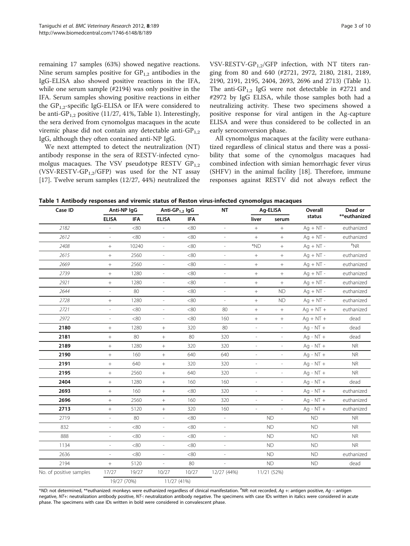<span id="page-2-0"></span>IgG-ELISA also showed positive reactions in the IFA, while one serum sample (#2194) was only positive in the IFA. Serum samples showing positive reactions in either the  $GP_{1,2}$ -specific IgG-ELISA or IFA were considered to be anti-GP<sub>1,2</sub> positive (11/27, 41%, Table 1). Interestingly, the sera derived from cynomolgus macaques in the acute viremic phase did not contain any detectable anti- $GP_{1,2}$ IgG, although they often contained anti-NP IgG.

We next attempted to detect the neutralization (NT) antibody response in the sera of RESTV-infected cynomolgus macaques. The VSV pseudotype RESTV  $GP_{1,2}$ (VSV-RESTV-GP<sub>1,2</sub>/GFP) was used for the NT assay [[17\]](#page-8-0). Twelve serum samples (12/27, 44%) neutralized the VSV-RESTV-GP<sub>1.2</sub>/GFP infection, with NT titers ranging from 80 and 640 (#2721, 2972, 2180, 2181, 2189, 2190, 2191, 2195, 2404, 2693, 2696 and 2713) (Table 1). The anti-GP<sub>1,2</sub> IgG were not detectable in #2721 and #2972 by IgG ELISA, while those samples both had a neutralizing activity. These two specimens showed a positive response for viral antigen in the Ag-capture ELISA and were thus considered to be collected in an early seroconversion phase.

All cynomolgus macaques at the facility were euthanatized regardless of clinical status and there was a possibility that some of the cynomolgus macaques had combined infection with simian hemorrhagic fever virus (SHFV) in the animal facility [[18\]](#page-8-0). Therefore, immune responses against RESTV did not always reflect the

Table 1 Antibody responses and viremic status of Reston virus-infected cynomolgus macaques

| Case ID                 | Anti-NP IgG              |            | Anti-GP <sub>1,2</sub> IgG |            | <b>NT</b>                | Ag-ELISA                     |                          | Overall     | Dead or      |
|-------------------------|--------------------------|------------|----------------------------|------------|--------------------------|------------------------------|--------------------------|-------------|--------------|
|                         | <b>ELISA</b>             | <b>IFA</b> | <b>ELISA</b>               | <b>IFA</b> |                          | liver                        | serum                    | status      | **euthanized |
| 2182                    |                          | <80        |                            | <80        |                          | $^{+}$                       | $\! +$                   | $Aq + NT -$ | euthanized   |
| 2612                    | $\overline{\phantom{a}}$ | <80        | $\overline{\phantom{a}}$   | <80        | $\frac{1}{2}$            | $\boldsymbol{+}$             | $\! +$                   | $Ag + NT -$ | euthanized   |
| 2408                    | $^{+}$                   | 10240      | $\overline{\phantom{a}}$   | <80        |                          | *ND                          | $^{+}$                   | $Ag + NT -$ | $*_{NR}$     |
| 2615                    | $^{+}$                   | 2560       | $\overline{\phantom{a}}$   | <80        | $\overline{\phantom{0}}$ | $\! +$                       | $^{+}$                   | $Aq + NT -$ | euthanized   |
| 2669                    | $\! + \!\!\!\!$          | 2560       | $\overline{a}$             | <80        | $\overline{a}$           | $+$                          | $^{+}$                   | $Ag + NT -$ | euthanized   |
| 2739                    | $+$                      | 1280       | $\overline{\phantom{a}}$   | <80        | $\overline{a}$           | $^{+}$                       | $\! +$                   | $Aq + NT -$ | euthanized   |
| 2921                    | $^+$                     | 1280       | $\overline{\phantom{a}}$   | <80        | i.                       | $+$                          | $\! +$                   | $Aq + NT -$ | euthanized   |
| 2644                    | $\overline{a}$           | 80         | $\frac{1}{2}$              | <80        |                          | $\! +$                       | <b>ND</b>                | $Ag + NT -$ | euthanized   |
| 2728                    | $^{+}$                   | 1280       | $\overline{\phantom{a}}$   | <80        | ÷,                       | $^{+}$                       | <b>ND</b>                | $Aq + NT -$ | euthanized   |
| 2721                    | $\overline{\phantom{a}}$ | <80        | $\overline{\phantom{a}}$   | <80        | 80                       | $+$                          | $^{+}$                   | $Ag + NT +$ | euthanized   |
| 2972                    | $\overline{\phantom{a}}$ | <80        | $\overline{\phantom{a}}$   | <80        | 160                      | $\! +$                       | $\! +$                   | $Ag + NT +$ | dead         |
| 2180                    | $^{+}$                   | 1280       | $^{+}$                     | 320        | 80                       | $\overline{\phantom{a}}$     |                          | Aq - $NT +$ | dead         |
| 2181                    | $^+$                     | 80         | $\! +$                     | 80         | 320                      |                              |                          | $Aq - NT +$ | dead         |
| 2189                    | $\! + \!\!\!\!$          | 1280       | $\! +$                     | 320        | 320                      | $\frac{1}{2}$                |                          | $Aq - NT +$ | <b>NR</b>    |
| 2190                    | $+$                      | 160        | $+$                        | 640        | 640                      | $\overline{\phantom{a}}$     | $\overline{\phantom{0}}$ | Aq - $NT +$ | <b>NR</b>    |
| 2191                    | $\! + \!\!\!\!$          | 640        |                            | 320        | 320                      | $\overline{\phantom{a}}$     | $\overline{\phantom{a}}$ | $Ag - NT +$ | <b>NR</b>    |
| 2195                    | $\! + \!\!\!\!$          | 2560       | $\! +$                     | 640        | 320                      | $\bar{a}$                    | $\overline{\phantom{a}}$ | Aq - $NT +$ | <b>NR</b>    |
| 2404                    | $+$                      | 1280       | $\! +$                     | 160        | 160                      | $\qquad \qquad \blacksquare$ |                          | Aq - $NT +$ | dead         |
| 2693                    | $\! + \!\!\!\!$          | 160        |                            | <80        | 320                      | $\overline{\phantom{a}}$     |                          | $Aq - NT +$ | euthanized   |
| 2696                    | $+$                      | 2560       | $\boldsymbol{+}$           | 160        | 320                      |                              |                          | $Aq - NT +$ | euthanized   |
| 2713                    | $+$                      | 5120       | $^{+}$                     | 320        | 160                      | $\overline{\phantom{a}}$     | $\overline{\phantom{a}}$ | Aq - $NT +$ | euthanized   |
| 2719                    | $\overline{\phantom{a}}$ | 80         | $\frac{1}{2}$              | <80        | $\frac{1}{2}$            |                              | <b>ND</b>                | <b>ND</b>   | <b>NR</b>    |
| 832                     | $\overline{\phantom{a}}$ | <80        | $\overline{\phantom{a}}$   | <80        | $\overline{a}$           |                              | <b>ND</b>                | <b>ND</b>   | <b>NR</b>    |
| 888                     | L,                       | <80        | $\frac{1}{2}$              | <80        |                          |                              | <b>ND</b>                | <b>ND</b>   | <b>NR</b>    |
| 1134                    | L,                       | <80        | $\overline{\phantom{a}}$   | <80        |                          |                              | <b>ND</b>                | <b>ND</b>   | <b>NR</b>    |
| 2636                    | $\overline{\phantom{a}}$ | <80        | $\overline{\phantom{a}}$   | <80        |                          |                              | <b>ND</b>                | <b>ND</b>   | euthanized   |
| 2194                    | $\qquad \qquad +$        | 5120       |                            | 80         |                          |                              | <b>ND</b>                | ND          | dead         |
| No. of positive samples | 17/27                    | 19/27      | 10/27                      | 10/27      | 12/27 (44%)              |                              | 11/21 (52%)              |             |              |
|                         | 19/27 (70%)              |            | 11/27 (41%)                |            |                          |                              |                          |             |              |

\*ND: not determined, \*\*euthanized: monkeys were euthanized regardless of clinical manifestation. <sup>#</sup>NR: not recorded, Ag +: antigen positive, Ag -: antigen<br>negative, NT+: neutralization antibody positive, NT-: neutralizati negative, NT+: neutralization antibody positive, NT-: neutralization antibody negative. The specimens with case IDs written in italics were considered in acute phase. The specimens with case IDs written in bold were considered in convalescent phase.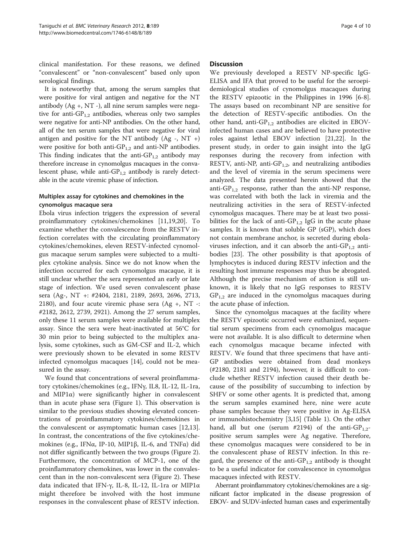clinical manifestation. For these reasons, we defined "convalescent" or "non-convalescent" based only upon serological findings.

It is noteworthy that, among the serum samples that were positive for viral antigen and negative for the NT antibody (Ag +, NT -), all nine serum samples were negative for anti- $GP_{1,2}$  antibodies, whereas only two samples were negative for anti-NP antibodies. On the other hand, all of the ten serum samples that were negative for viral antigen and positive for the NT antibody (Ag -, NT +) were positive for both anti- $GP_{1,2}$  and anti-NP antibodies. This finding indicates that the anti- $GP_{1,2}$  antibody may therefore increase in cynomolgus macaques in the convalescent phase, while anti- $GP_{1,2}$  antibody is rarely detectable in the acute viremic phase of infection.

#### Multiplex assay for cytokines and chemokines in the cynomolgus macaque sera

Ebola virus infection triggers the expression of several proinflammatory cytokines/chemokines [[11,19,20\]](#page-8-0). To examine whether the convalescence from the RESTV infection correlates with the circulating proinflammatory cytokines/chemokines, eleven RESTV-infected cynomolgus macaque serum samples were subjected to a multiplex cytokine analysis. Since we do not know when the infection occurred for each cynomolgus macaque, it is still unclear whether the sera represented an early or late stage of infection. We used seven convalescent phase sera (Ag-, NT +: #2404, 2181, 2189, 2693, 2696, 2713, 2180), and four acute viremic phase sera  $(Ag +, NT -$ : #2182, 2612, 2739, 2921). Among the 27 serum samples, only these 11 serum samples were available for multiplex assay. Since the sera were heat-inactivated at 56°C for 30 min prior to being subjected to the multiplex analysis, some cytokines, such as GM-CSF and IL-2, which were previously shown to be elevated in some RESTV infected cynomolgus macaques [\[14](#page-8-0)], could not be measured in the assay.

We found that concentrations of several proinflammatory cytokines/chemokines (e.g., IFNγ, IL8, IL-12, IL-1ra, and MIP1 $\alpha$ ) were significantly higher in convalescent than in acute phase sera (Figure [1](#page-4-0)). This observation is similar to the previous studies showing elevated concentrations of proinflammatory cytokines/chemokines in the convalescent or asymptomatic human cases [\[12,13](#page-8-0)]. In contrast, the concentrations of the five cytokines/chemokines (e.g., IFNα, IP-10, MIP1β, IL-6, and TNFα) did not differ significantly between the two groups (Figure [2](#page-5-0)). Furthermore, the concentration of MCP-1, one of the proinflammatory chemokines, was lower in the convalescent than in the non-convalescent sera (Figure [2\)](#page-5-0). These data indicated that IFN-γ, IL-8, IL-12, IL-1ra or MIP1α might therefore be involved with the host immune responses in the convalescent phase of RESTV infection.

#### **Discussion**

We previously developed a RESTV NP-specific IgG-ELISA and IFA that proved to be useful for the seroepidemiological studies of cynomolgus macaques during the RESTV epizootic in the Philippines in 1996 [[6-8](#page-8-0)]. The assays based on recombinant NP are sensitive for the detection of RESTV-specific antibodies. On the other hand, anti-GP<sub>1,2</sub> antibodies are elicited in EBOVinfected human cases and are believed to have protective roles against lethal EBOV infection [[21](#page-8-0),[22](#page-8-0)]. In the present study, in order to gain insight into the IgG responses during the recovery from infection with RESTV, anti-NP, anti-GP<sub>1,2</sub>, and neutralizing antibodies and the level of viremia in the serum specimens were analyzed. The data presented herein showed that the anti-GP<sub>1,2</sub> response, rather than the anti-NP response, was correlated with both the lack in viremia and the neutralizing activities in the sera of RESTV-infected cynomolgus macaques. There may be at least two possibilities for the lack of anti- $GP_{1,2}$  IgG in the acute phase samples. It is known that soluble GP (sGP), which does not contain membrane anchor, is secreted during ebolaviruses infection, and it can absorb the anti- $GP_{1,2}$  antibodies [\[23](#page-8-0)]. The other possibility is that apoptosis of lymphocytes is induced during RESTV infection and the resulting host immune responses may thus be abrogated. Although the precise mechanism of action is still unknown, it is likely that no IgG responses to RESTV  $GP_{1,2}$  are induced in the cynomolgus macaques during the acute phase of infection.

Since the cynomolgus macaques at the facility where the RESTV epizootic occurred were euthanized, sequential serum specimens from each cynomolgus macaque were not available. It is also difficult to determine when each cynomolgus macaque became infected with RESTV. We found that three specimens that have anti-GP antibodies were obtained from dead monkeys (#2180, 2181 and 2194), however, it is difficult to conclude whether RESTV infection caused their death because of the possibility of succumbing to infection by SHFV or some other agents. It is predicted that, among the serum samples examined here, nine were acute phase samples because they were positive in Ag-ELISA or immunohistochemistry [\[3,15\]](#page-8-0) (Table [1](#page-2-0)). On the other hand, all but one (serum #2194) of the anti-GP<sub>1,2</sub>positive serum samples were Ag negative. Therefore, these cynomolgus macaques were considered to be in the convalescent phase of RESTV infection. In this regard, the presence of the anti- $GP_{1,2}$  antibody is thought to be a useful indicator for convalescence in cynomolgus macaques infected with RESTV.

Aberrant proinflammatory cytokines/chemokines are a significant factor implicated in the disease progression of EBOV- and SUDV-infected human cases and experimentally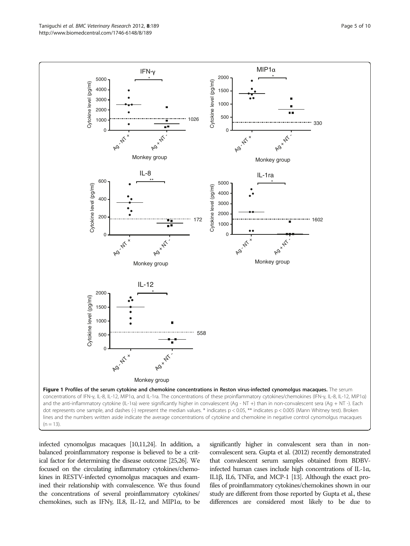<span id="page-4-0"></span>

infected cynomolgus macaques [\[10,11,24\]](#page-8-0). In addition, a balanced proinflammatory response is believed to be a critical factor for determining the disease outcome [\[25,26](#page-8-0)]. We focused on the circulating inflammatory cytokines/chemokines in RESTV-infected cynomolgus macaques and examined their relationship with convalescence. We thus found the concentrations of several proinflammatory cytokines/ chemokines, such as IFNγ, IL8, IL-12, and MIP1α, to be

significantly higher in convalescent sera than in nonconvalescent sera. Gupta et al. (2012) recently demonstrated that convalescent serum samples obtained from BDBVinfected human cases include high concentrations of IL-1α, IL1β, IL6, TNFα, and MCP-1 [\[13](#page-8-0)]. Although the exact profiles of proinflammatory cytokines/chemokines shown in our study are different from those reported by Gupta et al., these differences are considered most likely to be due to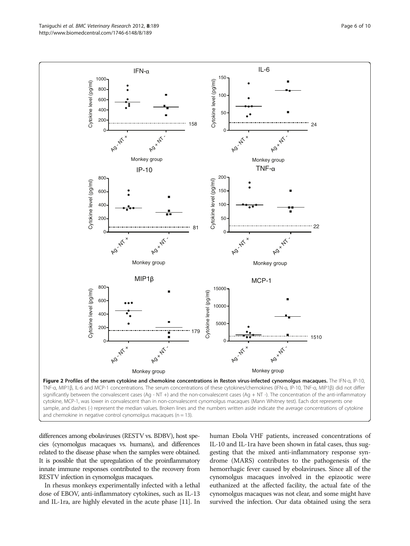<span id="page-5-0"></span>

differences among ebolaviruses (RESTV vs. BDBV), host species (cynomolgus macaques vs. humans), and differences related to the disease phase when the samples were obtained. It is possible that the upregulation of the proinflammatory innate immune responses contributed to the recovery from RESTV infection in cynomolgus macaques.

In rhesus monkeys experimentally infected with a lethal dose of EBOV, anti-inflammatory cytokines, such as IL-13 and IL-1ra, are highly elevated in the acute phase [[11\]](#page-8-0). In

human Ebola VHF patients, increased concentrations of IL-10 and IL-1ra have been shown in fatal cases, thus suggesting that the mixed anti-inflammatory response syndrome (MARS) contributes to the pathogenesis of the hemorrhagic fever caused by ebolaviruses. Since all of the cynomolgus macaques involved in the epizootic were euthanized at the affected facility, the actual fate of the cynomolgus macaques was not clear, and some might have survived the infection. Our data obtained using the sera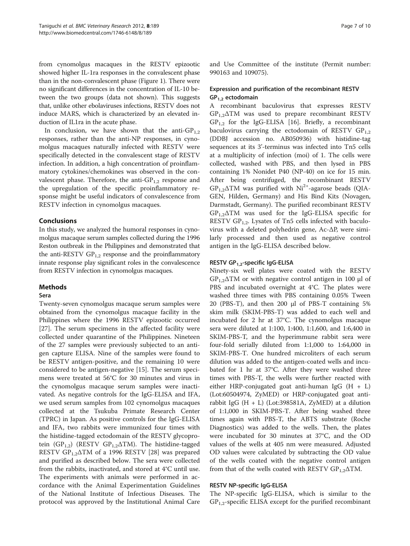from cynomolgus macaques in the RESTV epizootic showed higher IL-1ra responses in the convalescent phase than in the non-convalescent phase (Figure [1](#page-4-0)). There were no significant differences in the concentration of IL-10 between the two groups (data not shown). This suggests that, unlike other ebolaviruses infections, RESTV does not induce MARS, which is characterized by an elevated induction of IL1ra in the acute phase.

In conclusion, we have shown that the anti- $GP_{1,2}$ responses, rather than the anti-NP responses, in cynomolgus macaques naturally infected with RESTV were specifically detected in the convalescent stage of RESTV infection. In addition, a high concentration of proinflammatory cytokines/chemokines was observed in the convalescent phase. Therefore, the anti- $GP_{1,2}$  response and the upregulation of the specific proinflammatory response might be useful indicators of convalescence from RESTV infection in cynomolgus macaques.

## Conclusions

In this study, we analyzed the humoral responses in cynomolgus macaque serum samples collected during the 1996 Reston outbreak in the Philippines and demonstrated that the anti-RESTV  $GP_{1,2}$  response and the proinflammatory innate response play significant roles in the convalescence from RESTV infection in cynomolgus macaques.

## Methods

#### Sera

Twenty-seven cynomolgus macaque serum samples were obtained from the cynomolgus macaque facility in the Philippines where the 1996 RESTV epizootic occurred [[27\]](#page-8-0). The serum specimens in the affected facility were collected under quarantine of the Philippines. Nineteen of the 27 samples were previously subjected to an antigen capture ELISA. Nine of the samples were found to be RESTV antigen-positive, and the remaining 10 were considered to be antigen-negative [[15\]](#page-8-0). The serum specimens were treated at 56°C for 30 minutes and virus in the cynomolgus macaque serum samples were inactivated. As negative controls for the IgG-ELISA and IFA, we used serum samples from 102 cynomolgus macaques collected at the Tsukuba Primate Research Center (TPRC) in Japan. As positive controls for the IgG-ELISA and IFA, two rabbits were immunized four times with the histidine-tagged ectodomain of the RESTV glycoprotein ( $GP_{1,2}$ ) (RESTV  $GP_{1,2}\Delta TM$ ). The histidine-tagged RESTV  $GP_{1,2}\Delta TM$  of a 1996 RESTV [[28\]](#page-9-0) was prepared and purified as described below. The sera were collected from the rabbits, inactivated, and stored at 4°C until use. The experiments with animals were performed in accordance with the Animal Experimentation Guidelines of the National Institute of Infectious Diseases. The protocol was approved by the Institutional Animal Care

and Use Committee of the institute (Permit number: 990163 and 109075).

## Expression and purification of the recombinant RESTV  $GP_{1,2}$  ectodomain

A recombinant baculovirus that expresses RESTV  $GP_{1,2}\Delta TM$  was used to prepare recombinant RESTV  $GP_{1,2}$  for the IgG-ELISA [[16\]](#page-8-0). Briefly, a recombinant baculovirus carrying the ectodomain of RESTV  $GP_{1,2}$ (DDBJ accession no. AB050936) with histidine-tag sequences at its 3'-terminus was infected into Tn5 cells at a multiplicity of infection (moi) of 1. The cells were collected, washed with PBS, and then lysed in PBS containing 1% Nonidet P40 (NP-40) on ice for 15 min. After being centrifuged, the recombinant RESTV  $GP_{1,2}\Delta TM$  was purified with  $Ni^{2+}$ -agarose beads (QIA-GEN, Hilden, Germany) and His Bind Kits (Novagen, Darmstadt, Germany). The purified recombinant RESTV  $GP_{1,2}\Delta TM$  was used for the IgG-ELISA specific for RESTV  $GP_{1,2}$ . Lysates of Tn5 cells infected with baculovirus with a deleted polyhedrin gene, Ac-ΔP, were similarly processed and then used as negative control antigen in the IgG-ELISA described below.

## RESTV GP<sub>1,2</sub>-specific IgG-ELISA

Ninety-six well plates were coated with the RESTV  $GP_{1,2}\Delta TM$  or with negative control antigen in 100 µl of PBS and incubated overnight at 4°C. The plates were washed three times with PBS containing 0.05% Tween 20 (PBS-T), and then 200 μl of PBS-T containing 5% skim milk (SKIM-PBS-T) was added to each well and incubated for 2 hr at 37°C. The cynomolgus macaque sera were diluted at 1:100, 1:400, 1:1,600, and 1:6,400 in SKIM-PBS-T, and the hyperimmune rabbit sera were four-fold serially diluted from 1:1,000 to 1:64,000 in SKIM-PBS-T. One hundred microliters of each serum dilution was added to the antigen-coated wells and incubated for 1 hr at 37°C. After they were washed three times with PBS-T, the wells were further reacted with either HRP-conjugated goat anti-human IgG  $(H + L)$ (Lot:60504974, ZyMED) or HRP-conjugated goat antirabbit IgG (H + L) (Lot:398581A, ZyMED) at a dilution of 1:1,000 in SKIM-PBS-T. After being washed three times again with PBS-T, the ABTS substrate (Roche Diagnostics) was added to the wells. Then, the plates were incubated for 30 minutes at 37°C, and the OD values of the wells at 405 nm were measured. Adjusted OD values were calculated by subtracting the OD value of the wells coated with the negative control antigen from that of the wells coated with RESTV  $GP_{1,2}\Delta TM$ .

#### RESTV NP-specific IgG-ELISA

The NP-specific IgG-ELISA, which is similar to the  $GP_{1,2}$ -specific ELISA except for the purified recombinant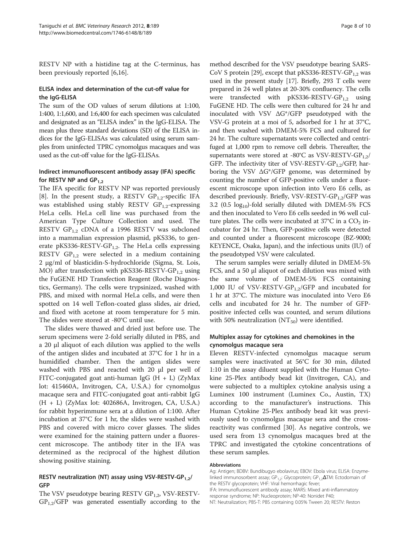RESTV NP with a histidine tag at the C-terminus, has been previously reported [[6](#page-8-0),[16](#page-8-0)].

### ELISA index and determination of the cut-off value for the IgG-ELISA

The sum of the OD values of serum dilutions at 1:100, 1:400, 1:1,600, and 1:6,400 for each specimen was calculated and designated as an "ELISA index" in the IgG-ELISA. The mean plus three standard deviations (SD) of the ELISA indices for the IgG-ELISAs was calculated using serum samples from uninfected TPRC cynomolgus macaques and was used as the cut-off value for the IgG-ELISAs.

#### Indirect immunofluorescent antibody assay (IFA) specific for RESTV NP and  $GP_1$ ,

The IFA specific for RESTV NP was reported previously [[8\]](#page-8-0). In the present study, a RESTV  $GP_{1,2}$ -specific IFA was established using stably RESTV  $GP_{1,2}$ -expressing HeLa cells. HeLa cell line was purchased from the American Type Culture Collection and used. The RESTV GP<sub>1,2</sub> cDNA of a 1996 RESTV was subcloned into a mammalian expression plasmid, pKS336, to generate pKS336-RESTV-GP<sub>1.2</sub>. The HeLa cells expressing RESTV  $GP_{1,2}$  were selected in a medium containing 2 μg/ml of blasticidin-S-hydrochloride (Sigma, St. Lois, MO) after transfection with pKS336-RESTV-GP<sub>1.2</sub> using the FuGENE HD Transfection Reagent (Roche Diagnostics, Germany). The cells were trypsinized, washed with PBS, and mixed with normal HeLa cells, and were then spotted on 14 well Teflon-coated glass slides, air dried, and fixed with acetone at room temperature for 5 min. The slides were stored at -80°C until use.

The slides were thawed and dried just before use. The serum specimens were 2-fold serially diluted in PBS, and a 20 μl aliquot of each dilution was applied to the wells of the antigen slides and incubated at 37°C for 1 hr in a humidified chamber. Then the antigen slides were washed with PBS and reacted with 20 μl per well of FITC-conjugated goat anti-human IgG  $(H + L)$  (ZyMax lot: 415460A, Invitrogen, CA, U.S.A.) for cynomolgus macaque sera and FITC-conjugated goat anti-rabbit IgG (H + L) (ZyMax lot: 402686A, Invitrogen, CA, U.S.A.) for rabbit hyperimmune sera at a dilution of 1:100. After incubation at 37°C for 1 hr, the slides were washed with PBS and covered with micro cover glasses. The slides were examined for the staining pattern under a fluorescent microscope. The antibody titer in the IFA was determined as the reciprocal of the highest dilution showing positive staining.

## RESTV neutralization (NT) assay using VSV-RESTV-GP $_{1,2}$ / GFP

The VSV pseudotype bearing RESTV  $GP_{1,2}$ , VSV-RESTV- $GP_{1,2}/GFP$  was generated essentially according to the

method described for the VSV pseudotype bearing SARS-CoV S protein [\[29\]](#page-9-0), except that pKS336-RESTV-GP<sub>1.2</sub> was used in the present study [[17](#page-8-0)]. Briefly, 293 T cells were prepared in 24 well plates at 20-30% confluency. The cells were transfected with  $pKS336-RESTV-GP<sub>1,2</sub>$  using FuGENE HD. The cells were then cultured for 24 hr and inoculated with VSV ΔG\*/GFP pseudotyped with the VSV-G protein at a moi of 5, adsorbed for 1 hr at 37°C, and then washed with DMEM-5% FCS and cultured for 24 hr. The culture supernatants were collected and centrifuged at 1,000 rpm to remove cell debris. Thereafter, the supernatants were stored at -80°C as VSV-RESTV-GP<sub>1.2</sub>/ GFP. The infectivity titer of VSV-RESTV-GP $_{1,2}/$ GFP, harboring the VSV  $\Delta G^* / GFP$  genome, was determined by counting the number of GFP-positive cells under a fluorescent microscope upon infection into Vero E6 cells, as described previously. Briefly, VSV-RESTV-GP<sub>1,2</sub>/GFP was 3.2 (0.5  $log_{10}$ )-fold serially diluted with DMEM-5% FCS and then inoculated to Vero E6 cells seeded in 96 well culture plates. The cells were incubated at  $37^{\circ}$ C in a  $CO_{2}$  incubator for 24 hr. Then, GFP-positive cells were detected and counted under a fluorescent microscope (BZ-9000; KEYENCE, Osaka, Japan), and the infectious units (IU) of the pseudotyped VSV were calculated.

The serum samples were serially diluted in DMEM-5% FCS, and a 50 μl aliquot of each dilution was mixed with the same volume of DMEM-5% FCS containing 1,000 IU of VSV-RESTV-GP<sub>1.2</sub>/GFP and incubated for 1 hr at 37°C. The mixture was inoculated into Vero E6 cells and incubated for 24 hr. The number of GFPpositive infected cells was counted, and serum dilutions with 50% neutralization (NT $_{50}$ ) were identified.

## Multiplex assay for cytokines and chemokines in the cynomolgus macaque sera

Eleven RESTV-infected cynomolgus macaque serum samples were inactivated at 56°C for 30 min, diluted 1:10 in the assay diluent supplied with the Human Cytokine 25-Plex antibody bead kit (Invitrogen, CA), and were subjected to a multiplex cytokine analysis using a Luminex 100 instrument (Luminex Co., Austin, TX) according to the manufacturer's instructions. This Human Cytokine 25-Plex antibody bead kit was previously used to cynomolgus macaque sera and the crossreactivity was confirmed [[30\]](#page-9-0). As negative controls, we used sera from 13 cynomolgus macaques bred at the TPRC and investigated the cytokine concentrations of these serum samples.

#### Abbreviations

Ag: Antigen; BDBV: Bundibugyo ebolavirus; EBOV: Ebola virus; ELISA: Enzymelinked immunosorbent assay; GP<sub>1,2</sub>: Glycoprotein; GP<sub>1,2</sub>**Δ**TM: Ectodomain of the RESTV glycoprotein; VHF: Viral hemorrhagic fever; IFA: Immunofluorescent antibody assay; MARS: Mixed anti-inflammatory response syndrome; NP: Nucleoprotein; NP-40: Nonidet P40; NT: Neutralization; PBS-T: PBS containing 0.05% Tween 20; RESTV: Reston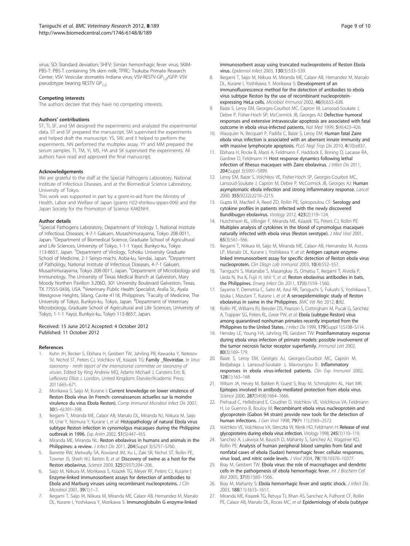<span id="page-8-0"></span>virus; SD: Standard deviation; SHFV: Simian hemorrhagic fever virus; SKIM-PBS-T: PBS-T containing 5% skim milk; TPRC: Tsukuba Primate Research Center; VSV: Vesicular stomatitis Indiana virus; VSV-RESTV-GP<sub>1.2</sub>/GFP: VSV pseudotype bearing RESTV GP<sub>12</sub>.

#### Competing interests

The authors declare that they have no competing interests.

#### Authors' contributions

ST, TI, SF, and SM designed the experiments and analyzed the experimental data. ST and SF prepared the manuscript. SM supervised the experiments and helped draft the manuscript. YS, SW, and II helped to perform the experiments. NN performed the multiplex assay. YY and MM prepared the serum samples. TI, TM, YI, MS, HA and SK supervised the experiments. All authors have read and approved the final manuscript.

#### Acknowledgements

We are grateful to the staff at the Special Pathogens Laboratory, National Institute of Infectious Diseases, and at the Biomedical Science Laboratory, University of Tokyo.

This work was supported in part by a grant-in-aid from the Ministry of Health, Labor and Welfare of Japan (grants H22-shinkou-ippan-006) and the Japan Society for the Promotion of Science KAKENHI.

#### Author details

<sup>1</sup>Special Pathogens Laboratory, Department of Virology 1, National Institute of Infectious Diseases, 4-7-1 Gakuen, Musashimurayama, Tokyo 208-0011, Japan. <sup>2</sup>Department of Biomedical Science, Graduate School of Agricultural and Life Sciences, University of Tokyo, 1-1-1 Yayoi, Bunkyo-ku, Tokyo 113-8657, Japan. <sup>3</sup>Department of Virology, Tohoku University Graduate School of Medicine, 2-1 Seiryo-machi, Aoba-ku, Sendai, Japan. <sup>4</sup>Department of Pathology, National Institute of Infectious Diseases, 4-7-1 Gakuen, Musashimurayama, Tokyo 208-0011, Japan. <sup>5</sup>Department of Microbiology and Immunology, The University of Texas Medical Branch at Galveston, Mary Moody Northen Pavilion 3.206D, 301 University Boulevard Galveston, Texas, TX 77555-0436, USA. <sup>6</sup>Veterinary Public Health Specialist, Aralia St., Ayala Westgrove Heights, Silang, Cavite 4118, Philippines. <sup>7</sup>Faculty of Medicine, The University of Tokyo, Bunkyo-ku, Tokyo, Japan. <sup>8</sup>Department of Veterinary Microbiology, Graduate School of Agricultural and Life Sciences, University of Tokyo, 1-1-1 Yayoi, Bunkyo-ku, Tokyo 113-8657, Japan.

#### Received: 15 June 2012 Accepted: 4 October 2012 Published: 11 October 2012

#### References

- 1. Kuhn JH, Becker S, Ebihara H, Geisbert TW, Jahrling PB, Kawaoka Y, Netesov SV, Nichol ST, Peters CJ, Volchkov VE, Ksiazek TG: Family \_filoviridae. In Virus taxonomy - ninth report of the international committee on taxonomy of viruses. Edited by King Andrew MQ, Adams Michael J, Carstens Eric B, Lefkowitz Elliot J. London, United Kingdom: Elsevier/Academic Press; 2011:665–671.
- 2. Morikawa S, Saijo M, Kurane I: Current knowledge on lower virulence of Reston Ebola virus (in French: connaissances actuelles sur la moindre virulence du virus Ebola Reston). Comp Immunol Microbiol Infect Dis 2007, 30(5–6):391–398.
- 3. Ikegami T, Miranda ME, Calaor AB, Manalo DL, Miranda NJ, Niikura M, Saijo M, Une Y, Nomura Y, Kurane I, et al: Histopathology of natural Ebola virus subtype Reston infection in cynomolgus macaques during the Philippine outbreak in 1996. Exp Anim 2002, 51(5):447–455.
- Miranda ME, Miranda NL: Reston ebolavirus in humans and animals in the Philippines: a review. *J Infect Dis* 2011, 204(Suppl 3):S757-S760.
- 5. Barrette RW, Metwally SA, Rowland JM, Xu L, Zaki SR, Nichol ST, Rollin PE, Towner JS, Shieh WJ, Batten B, et al: Discovery of swine as a host for the Reston ebolavirus. Science 2009, 325(5937):204–206.
- Saijo M, Niikura M, Morikawa S, Ksiazek TG, Meyer RF, Peters CJ, Kurane I: Enzyme-linked immunosorbent assays for detection of antibodies to Ebola and Marburg viruses using recombinant nucleoproteins. J Clin Microbiol 2001, 39(1):1–7.
- 7. Ikegami T, Saijo M, Niikura M, Miranda ME, Calaor AB, Hernandez M, Manalo DL, Kurane I, Yoshikawa Y, Morikawa S: Immunoglobulin G enzyme-linked

immunosorbent assay using truncated nucleoproteins of Reston Ebola virus. Epidemiol Infect 2003, 130(3):533–539.

- 8. Ikegami T, Saijo M, Niikura M, Miranda ME, Calaor AB, Hernandez M, Manalo DL, Kurane I, Yoshikawa Y, Morikawa S: Development of an immunofluorescence method for the detection of antibodies to ebola virus subtype Reston by the use of recombinant nucleoproteinexpressing HeLa cells. Microbiol Immunol 2002, 46(9):633–638.
- 9. Baize S, Leroy EM, Georges-Courbot MC, Capron M, Lansoud-Soukate J, Debre P, Fisher-Hoch SP, McCormick JB, Georges AJ: Defective humoral responses and extensive intravascular apoptosis are associated with fatal outcome in ebola virus-infected patients. Nat Med 1999, 5(4):423–426.
- 10. Wauquier N, Becquart P, Padilla C, Baize S, Leroy EM: Human fatal Zaire ebola virus infection is associated with an aberrant innate immunity and with massive lymphocyte apoptosis. PLoS Negl Trop Dis 2010, 4(10):e837.
- 11. Ebihara H, Rockx B, Marzi A, Feldmann F, Haddock E, Brining D, Lacasse RA, Gardner D, Feldmann H: Host response dynamics following lethal infection of Rhesus macaques with Zaire ebolavirus. J Infect Dis 2011, 204(Suppl 3):S991–S999.
- 12. Leroy EM, Baize S, Volchkov VE, Fisher-Hoch SP, Georges-Courbot MC, Lansoud-Soukate J, Capron M, Debre P, McCormick JB, Georges AJ: Human asymptomatic ebola infection and strong inflammatory response. Lancet 2000, 355(9222):2210–2215.
- 13. Gupta M, MacNeil A, Reed ZD, Rollin PE, Spiropoulou CF: Serology and cytokine profiles in patients infected with the newly discovered Bundibugyo ebolavirus. Virology 2012, 423(2):119–124.
- 14. Hutchinson KL, Villinger F, Miranda ME, Ksiazek TG, Peters CJ, Rollin PE: Multiplex analysis of cytokines in the blood of cynomolgus macaques naturally infected with ebola virus (Reston serotype). J Med Virol 2001, 65(3):561–566.
- 15. Ikegami T, Niikura M, Saijo M, Miranda ME, Calaor AB, Hernandez M, Acosta LP, Manalo DL, Kurane I, Yoshikawa Y, et al: Antigen capture enzymelinked immunosorbent assay for specific detection of Reston ebola virus nucleoprotein. Clin Diagn Lab Immunol 2003, 10(4):552–557.
- 16. Taniguchi S, Watanabe S, Masangkay JS, Omatsu T, Ikegami T, Alviola P, Ueda N, Iha K, Fujii H, Ishii Y, et al: Reston ebolavirus antibodies in bats, the Philippines. Emerg Infect Dis 2011, 17(8):1559-1560.
- 17. Sayama Y, Demetria C, Saito M, Azul RR, Taniguchi S, Fukushi S, Yoshikawa T, Iizuka I, Mizutani T, Kurane I, et al: A seroepidemiologic study of Reston ebolavirus in swine in the Philippines. BMC Vet Res 2012, 8:82.
- 18. Rollin PE, Williams RJ, Bressler DS, Pearson S, Cottingham M, Pucak G, Sanchez A, Trappier SG, Peters RL, Greer PW, et al: Ebola (subtype Reston) virus among quarantined nonhuman primates recently imported from the Philippines to the United States. J Infect Dis 1999, 179(Suppl 1):S108-S114.
- 19. Hensley LE, Young HA, Jahrling PB, Geisbert TW: Proinflammatory response during ebola virus infection of primate models: possible involvement of the tumor necrosis factor receptor superfamily. Immunol Lett 2002, 80(3):169–179.
- 20. Baize S, Leroy EM, Georges AJ, Georges-Courbot MC, Capron M, Bedjabaga I, Lansoud-Soukate J, Mavoungou E: Inflammatory responses in ebola virus-infected patients. Clin Exp Immunol 2002, 128(1):163–168.
- 21. Wilson JA, Hevey M, Bakken R, Guest S, Bray M, Schmaljohn AL, Hart MK: Epitopes involved in antibody-mediated protection from ebola virus. Science 2000, 287(5458):1664–1666.
- 22. Prehaud C, Hellebrand E, Coudrier D, Volchkov VE, Volchkova VA, Feldmann H, Le Guenno B, Bouloy M: Recombinant ebola virus nucleoprotein and glycoprotein (Gabon 94 strain) provide new tools for the detection of human infections. J Gen Virol 1998, 79(Pt 11):2565–2572.
- 23. Volchkov VE, Volchkova VA, Slenczka W, Klenk HD, Feldmann H: Release of viral glycoproteins during ebola virus infection. Virology 1998, 245(1):110–119.
- 24. Sanchez A, Lukwiya M, Bausch D, Mahanty S, Sanchez AJ, Wagoner KD, Rollin PE: Analysis of human peripheral blood samples from fatal and nonfatal cases of ebola (Sudan) hemorrhagic fever: cellular responses, virus load, and nitric oxide levels. J Virol 2004, 78(19):10370–10377.
- 25. Bray M, Geisbert TW: Ebola virus: the role of macrophages and dendritic cells in the pathogenesis of ebola hemorrhagic fever. Int J Biochem Cell Biol 2005, 37(8):1560–1566.
- 26. Bray M, Mahanty S: Ebola hemorrhagic fever and septic shock. J Infect Dis 2003, 188(11):1613–1617.
- 27. Miranda ME, Ksiazek TG, Retuya TJ, Khan AS, Sanchez A, Fulhorst CF, Rollin PE, Calaor AB, Manalo DL, Roces MC, et al: Epidemiology of ebola (subtype